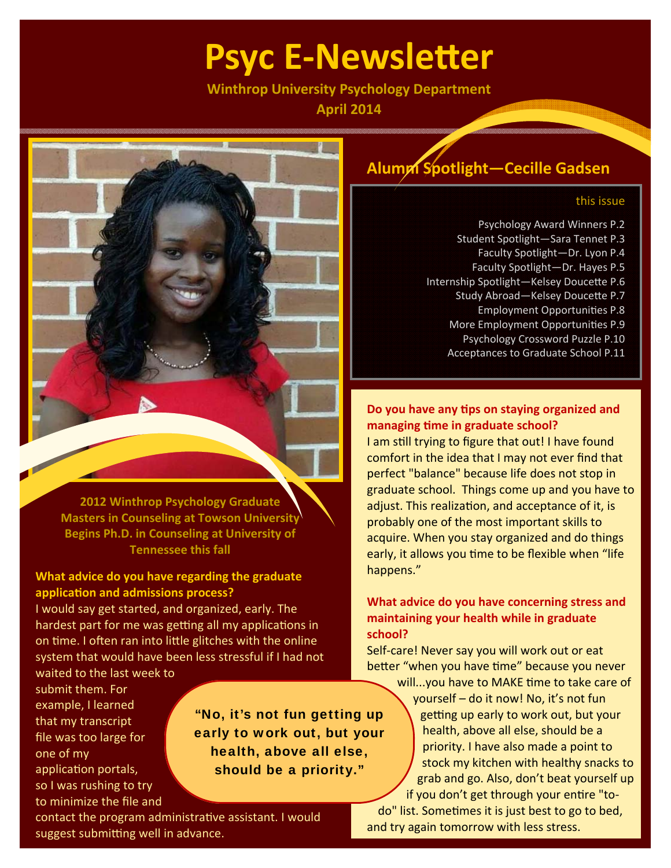# **Psyc E‐NewsleƩer**

**Winthrop University Psychology Department**

**April 2014**



**Masters in Counseling at Towson University Begins Ph.D. in Counseling at University of Tennessee this fall**

### **What advice do you have regarding the graduate applicaƟon and admissions process?**

I would say get started, and organized, early. The hardest part for me was getting all my applications in on time. I often ran into little glitches with the online system that would have been less stressful if I had not

waited to the last week to submit them. For example, I learned that my transcript file was too large for one of my application portals, so I was rushing to try to minimize the file and

"No, it's not fun getting up early to work out, but your health, above all else, should be a priority."

contact the program administrative assistant. I would suggest submitting well in advance.

### **Alumni Spotlight—Cecille Gadsen**

### this issue

Psychology Award Winners P.2 Student Spotlight—Sara Tennet P.3 Faculty Spotlight—Dr. Lyon P.4 Faculty Spotlight—Dr. Hayes P.5 Internship Spotlight-Kelsey Doucette P.6 Study Abroad-Kelsey Doucette P.7 Employment OpportuniƟes P.8 More Employment Opportunities P.9 Psychology Crossword Puzzle P.10 Acceptances to Graduate School P.11

### **Do you have any Ɵps on staying organized and managing Ɵme in graduate school?**

I am still trying to figure that out! I have found comfort in the idea that I may not ever find that perfect "balance" because life does not stop in graduate school. Things come up and you have to adjust. This realization, and acceptance of it, is probably one of the most important skills to acquire. When you stay organized and do things early, it allows you time to be flexible when "life happens."

### **What advice do you have concerning stress and maintaining your health while in graduate school?**

Self-care! Never say you will work out or eat better "when you have time" because you never will...you have to MAKE time to take care of

yourself – do it now! No, it's not fun getting up early to work out, but your health, above all else, should be a priority. I have also made a point to stock my kitchen with healthy snacks to grab and go. Also, don't beat yourself up if you don't get through your entire "todo" list. Sometimes it is just best to go to bed, and try again tomorrow with less stress.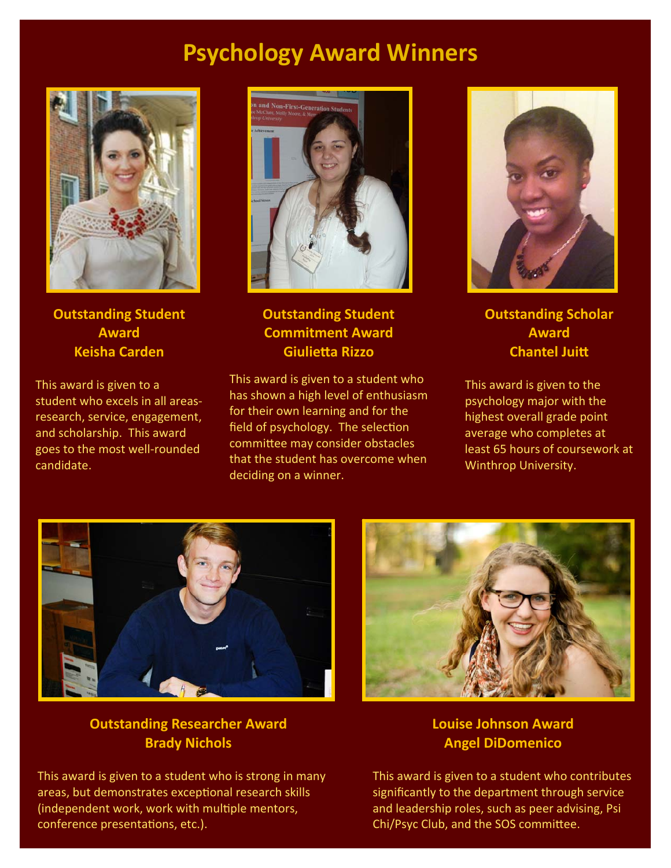## **Psychology Award Winners**



**Outstanding Student Award Keisha Carden**

This award is given to a student who excels in all areas‐ research, service, engagement, and scholarship. This award goes to the most well‐rounded candidate.



**Outstanding Student Commitment Award GiulieƩa Rizzo**

This award is given to a student who has shown a high level of enthusiasm for their own learning and for the field of psychology. The selection committee may consider obstacles that the student has overcome when deciding on a winner.



**Outstanding Scholar Award Chantel JuiƩ** 

This award is given to the psychology major with the highest overall grade point average who completes at least 65 hours of coursework at Winthrop University.



### **Outstanding Researcher Award Brady Nichols**

This award is given to a student who is strong in many areas, but demonstrates exceptional research skills (independent work, work with multiple mentors, conference presentations, etc.).



### **Louise Johnson Award Angel DiDomenico**

This award is given to a student who contributes significantly to the department through service and leadership roles, such as peer advising, Psi Chi/Psyc Club, and the SOS committee.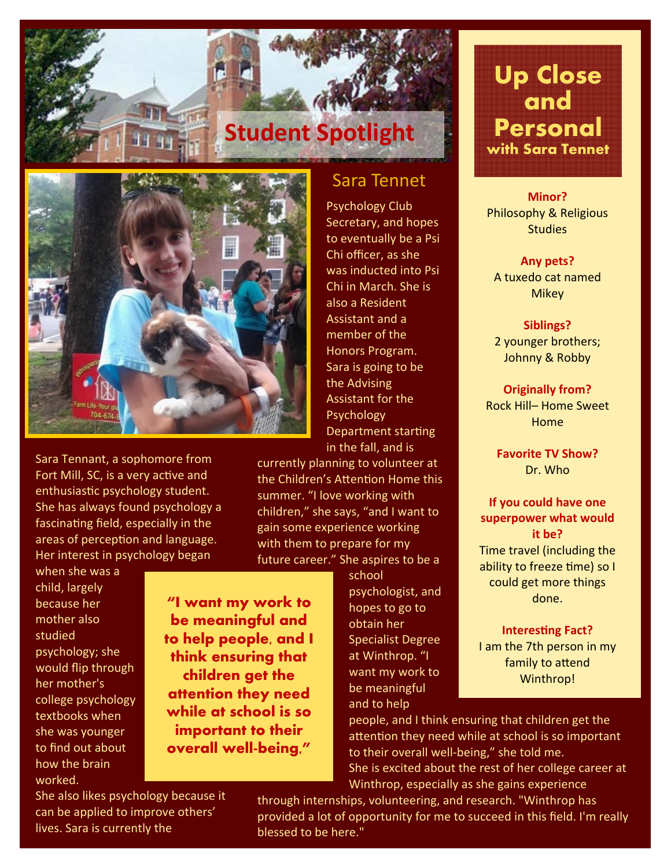

Sara Tennant, a sophomore from Fort Mill, SC, is a very active and enthusiastic psychology student. She has always found psychology a fascinating field, especially in the

Her interest in psychology began when she was a child, largely because her mother also studied psychology; she would flip through her mother's college psychology textbooks when she was younger to find out about how the brain worked.

**"I want my work to be meaningful and to help people, and I think ensuring that children get the attention they need while at school is so important to their overall well-being,"** 

Sara Tennet

**Student Spotlight**

Psychology Club Secretary, and hopes to eventually be a Psi Chi officer, as she was inducted into Psi Chi in March. She is also a Resident Assistant and a member of the Honors Program. Sara is going to be the Advising Assistant for the Psychology Department starting in the fall, and is

currently planning to volunteer at the Children's Attention Home this summer. "I love working with children," she says, "and I want to gain some experience working with them to prepare for my future career." She aspires to be a

school

psychologist, and hopes to go to obtain her Specialist Degree at Winthrop. "I want my work to be meaningful and to help

# **Up Close and Personal with Sara Tennet**

### **Minor?** Philosophy & Religious **Studies**

**Any pets?** A tuxedo cat named **Mikey** 

**Siblings?** 2 younger brothers; Johnny & Robby

**Originally from?** Rock Hill– Home Sweet Home

**Favorite TV Show?** Dr. Who

**If you could have one superpower what would it be?** Time travel (including the ability to freeze time) so I could get more things done.

**Interesting Fact?** 

I am the 7th person in my family to attend Winthrop!

people, and I think ensuring that children get the attention they need while at school is so important to their overall well-being," she told me. She is excited about the rest of her college career at Winthrop, especially as she gains experience

She also likes psychology because it can be applied to improve others' lives. Sara is currently the

areas of perception and language.

through internships, volunteering, and research. "Winthrop has provided a lot of opportunity for me to succeed in this field. I'm really blessed to be here."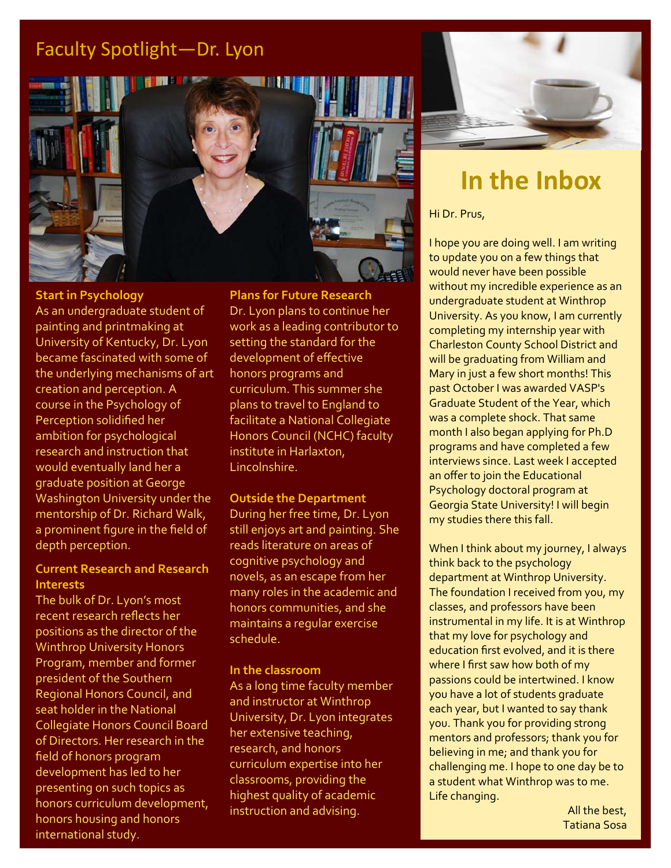### Faculty Spotlight—Dr. Lyon



### **Start in Psychology**

As an undergraduate student of painting and printmaking at University of Kentucky, Dr. Lyon became fascinated with some of the underlying mechanisms of art creation and perception. A course in the Psychology of Perception solidified her ambition for psychological research and instruction that would eventually land her a graduate position at George Washington University under the mentorship of Dr. Richard Walk, a prominent figure in the field of depth perception.

### **Current Research and Research Interests**

The bulk of Dr. Lyon's most recent research reflects her positions as the director of the Winthrop University Honors Program, member and former president of the Southern Regional Honors Council, and seat holder in the National Collegiate Honors Council Board of Directors. Her research in the field of honors program development has led to her presenting on such topics as honors curriculum development, honors housing and honors international study.

**Plans for Future Research** Dr. Lyon plans to continue her work as a leading contributor to setting the standard for the development of effective honors programs and curriculum. This summer she plans to travel to England to facilitate a National Collegiate Honors Council (NCHC) faculty institute in Harlaxton, Lincolnshire.

### **Outside the Department**

During her free time, Dr. Lyon still enjoys art and painting. She reads literature on areas of cognitive psychology and novels, as an escape from her many roles in the academic and honors communities, and she maintains a regular exercise schedule.

### **In the classroom**

As a long time faculty member and instructor at Winthrop University, Dr. Lyon integrates her extensive teaching, research, and honors curriculum expertise into her classrooms, providing the highest quality of academic instruction and advising.



# **In the Inbox**

Hi Dr. Prus,

I hope you are doing well. I am writing to update you on a few things that would never have been possible without my incredible experience as an undergraduate student at Winthrop University. As you know, I am currently completing my internship year with Charleston County School District and will be graduating from William and Mary in just a few short months! This past October I was awarded VASP's Graduate Student of the Year, which was a complete shock. That same month I also began applying for Ph.D programs and have completed a few interviews since. Last week I accepted an offer to join the Educational Psychology doctoral program at Georgia State University! I will begin my studies there this fall.

When I think about my journey, I always think back to the psychology department at Winthrop University. The foundation I received from you, my classes, and professors have been instrumental in my life. It is at Winthrop that my love for psychology and education first evolved, and it is there where I first saw how both of my passions could be intertwined. I know you have a lot of students graduate each year, but I wanted to say thank you. Thank you for providing strong mentors and professors; thank you for believing in me; and thank you for challenging me. I hope to one day be to a student what Winthrop was to me. Life changing.

> All the best, Tatiana Sosa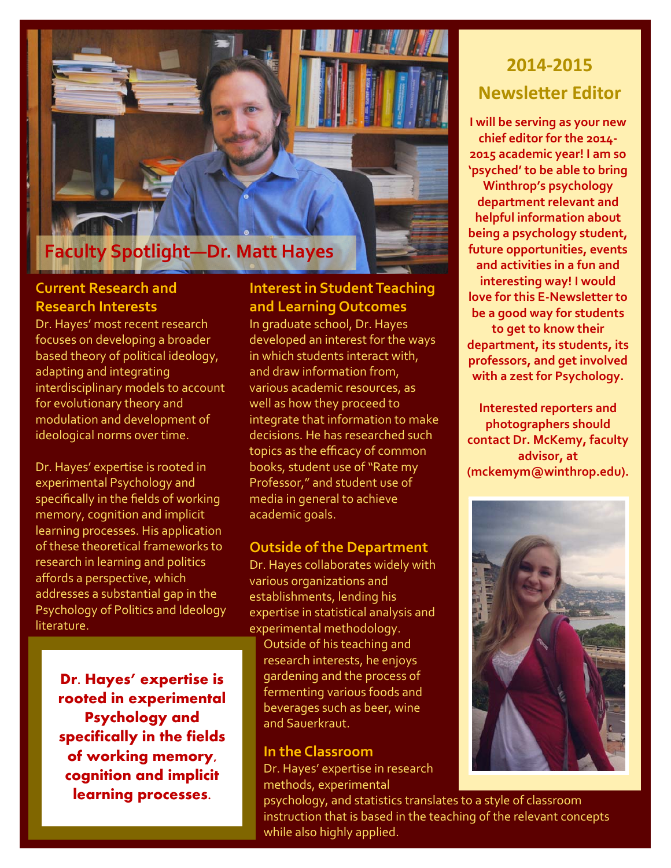# **Faculty Spotlight—Dr. Matt Hayes**

### **Current Research and Research Interests**

Dr. Hayes' most recent research focuses on developing a broader based theory of political ideology, adapting and integrating interdisciplinary models to account for evolutionary theory and modulation and development of ideological norms over time.

Dr. Hayes' expertise is rooted in experimental Psychology and specifically in the fields of working memory, cognition and implicit learning processes. His application of these theoretical frameworks to research in learning and politics affords a perspective, which addresses a substantial gap in the Psychology of Politics and Ideology **literature** 

> **Dr. Hayes' expertise is rooted in experimental Psychology and specifically in the fields of working memory, cognition and implicit learning processes.**

### **Interest in Student Teaching and Learning Outcomes**

In graduate school, Dr. Hayes developed an interest for the ways in which students interact with, and draw information from, various academic resources, as well as how they proceed to integrate that information to make decisions. He has researched such topics as the efficacy of common books, student use of "Rate my Professor," and student use of media in general to achieve academic goals.

### **Outside of the Department**

Dr. Hayes collaborates widely with various organizations and establishments, lending his expertise in statistical analysis and experimental methodology.

Outside of his teaching and research interests, he enjoys gardening and the process of fermenting various foods and beverages such as beer, wine and Sauerkraut.

### **In the Classroom**

Dr. Hayes' expertise in research methods, experimental

psychology, and statistics translates to a style of classroom instruction that is based in the teaching of the relevant concepts while also highly applied.

# **2014‐2015 NewsleƩer Editor**

**I will be serving as your new chief editor for the 2014‐ 2015 academic year! I am so 'psyched' to be able to bring Winthrop's psychology department relevant and helpful information about being a psychology student, future opportunities, events and activities in a fun and interesting way! I would love for this E‐Newsletter to be a good way for students to get to know their department, its students, its professors, and get involved with a zest for Psychology.**

**Interested reporters and photographers should contact Dr. McKemy, faculty advisor, at (mckemym@winthrop.edu).**

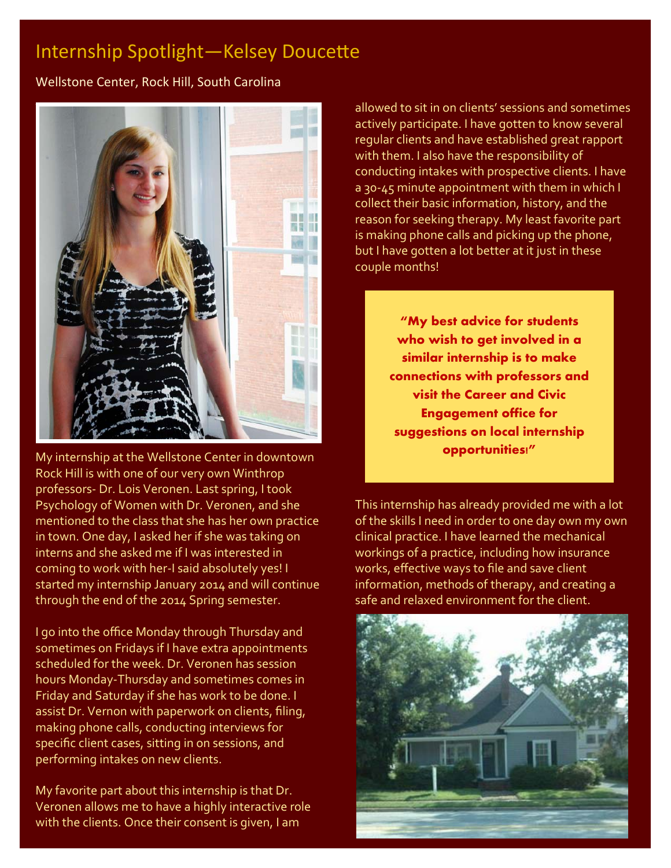### Internship Spotlight-Kelsey Doucette

Wellstone Center, Rock Hill, South Carolina



My internship at the Wellstone Center in downtown Rock Hill is with one of our very own Winthrop professors‐ Dr. Lois Veronen. Last spring, I took Psychology of Women with Dr. Veronen, and she mentioned to the class that she has her own practice in town. One day, I asked her if she was taking on interns and she asked me if I was interested in coming to work with her-I said absolutely yes! I started my internship January 2014 and will continue through the end of the 2014 Spring semester.

I go into the office Monday through Thursday and sometimes on Fridays if I have extra appointments scheduled for the week. Dr. Veronen has session hours Monday‐Thursday and sometimes comes in Friday and Saturday if she has work to be done. I assist Dr. Vernon with paperwork on clients, filing, making phone calls, conducting interviews for specific client cases, sitting in on sessions, and performing intakes on new clients.

My favorite part about this internship is that Dr. Veronen allows me to have a highly interactive role with the clients. Once their consent is given, I am

allowed to sit in on clients' sessions and sometimes actively participate. I have gotten to know several regular clients and have established great rapport with them. I also have the responsibility of conducting intakes with prospective clients. I have a 30‐45 minute appointment with them in which I collect their basic information, history, and the reason for seeking therapy. My least favorite part is making phone calls and picking up the phone, but I have gotten a lot better at it just in these couple months!

> **"My best advice for students who wish to get involved in a similar internship is to make connections with professors and visit the Career and Civic Engagement office for suggestions on local internship opportunities!"**

This internship has already provided me with a lot of the skills I need in order to one day own my own clinical practice. I have learned the mechanical workings of a practice, including how insurance works, effective ways to file and save client information, methods of therapy, and creating a safe and relaxed environment for the client.

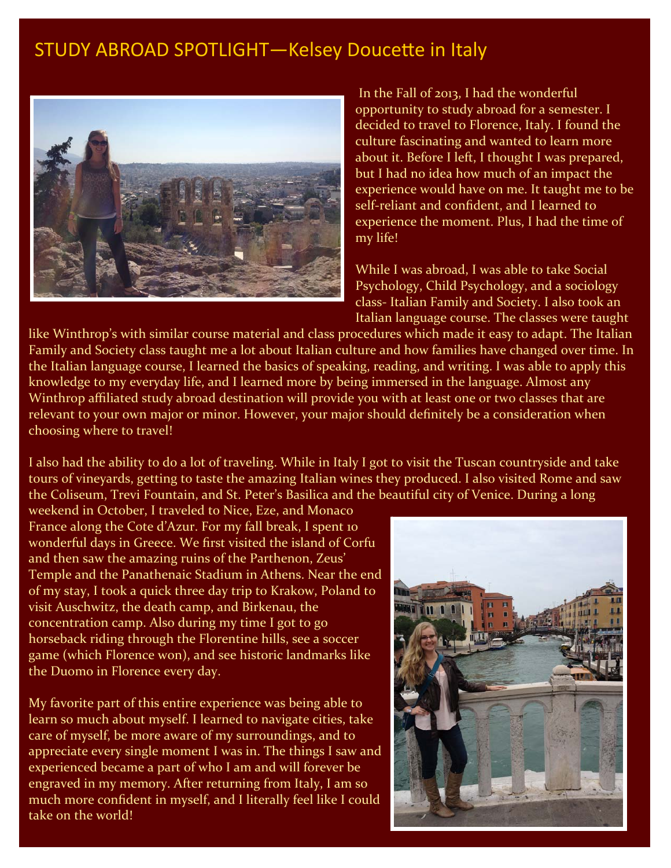### STUDY ABROAD SPOTLIGHT-Kelsey Doucette in Italy



In the Fall of 2013, I had the wonderful opportunity to study abroad for a semester. I decided to travel to Florence, Italy. I found the culture fascinating and wanted to learn more about it. Before I left, I thought I was prepared, but I had no idea how much of an impact the experience would have on me. It taught me to be self‐reliant and confident, and I learned to experience the moment. Plus, I had the time of my life!

While I was abroad, I was able to take Social Psychology, Child Psychology, and a sociology class‐ Italian Family and Society. I also took an Italian language course. The classes were taught

like Winthrop's with similar course material and class procedures which made it easy to adapt. The Italian Family and Society class taught me a lot about Italian culture and how families have changed over time. In the Italian language course, I learned the basics of speaking, reading, and writing. I was able to apply this knowledge to my everyday life, and I learned more by being immersed in the language. Almost any Winthrop affiliated study abroad destination will provide you with at least one or two classes that are relevant to your own major or minor. However, your major should definitely be a consideration when choosing where to travel!

I also had the ability to do a lot of traveling. While in Italy I got to visit the Tuscan countryside and take tours of vineyards, getting to taste the amazing Italian wines they produced. I also visited Rome and saw the Coliseum, Trevi Fountain, and St. Peter's Basilica and the beautiful city of Venice. During a long

weekend in October, I traveled to Nice, Eze, and Monaco France along the Cote d'Azur. For my fall break, I spent 10 wonderful days in Greece. We first visited the island of Corfu and then saw the amazing ruins of the Parthenon, Zeus' Temple and the Panathenaic Stadium in Athens. Near the end of my stay, I took a quick three day trip to Krakow, Poland to visit Auschwitz, the death camp, and Birkenau, the concentration camp. Also during my time I got to go horseback riding through the Florentine hills, see a soccer game (which Florence won), and see historic landmarks like the Duomo in Florence every day.

My favorite part of this entire experience was being able to learn so much about myself. I learned to navigate cities, take care of myself, be more aware of my surroundings, and to appreciate every single moment I was in. The things I saw and experienced became a part of who I am and will forever be engraved in my memory. After returning from Italy, I am so much more confident in myself, and I literally feel like I could take on the world!

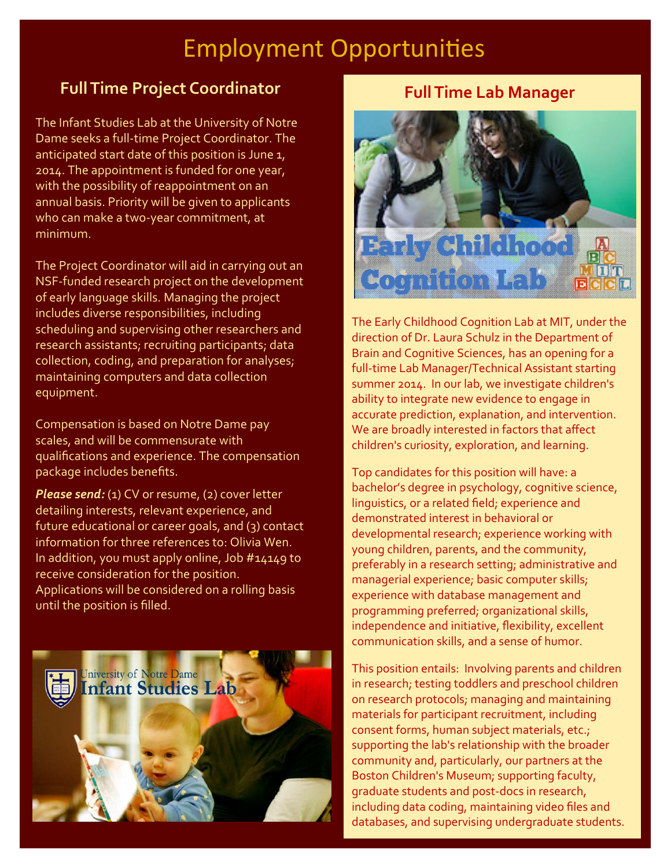# **Employment Opportunities**

### **FullTime Project Coordinator**

The Infant Studies Lab at the University of Notre Dame seeks a full‐time Project Coordinator. The anticipated start date of this position is June 1, 2014. The appointment is funded for one year, with the possibility of reappointment on an annual basis. Priority will be given to applicants who can make a two-year commitment, at minimum.

The Project Coordinator will aid in carrying out an NSF‐funded research project on the development of early language skills. Managing the project includes diverse responsibilities, including scheduling and supervising other researchers and research assistants; recruiting participants; data collection, coding, and preparation for analyses; maintaining computers and data collection equipment.

Compensation is based on Notre Dame pay scales, and will be commensurate with qualifications and experience. The compensation package includes benefits.

*Please send:* (1) CV or resume, (2) cover letter detailing interests, relevant experience, and future educational or career goals, and (3) contact information for three references to: Olivia Wen. In addition, you must apply online, Job #14149 to receive consideration for the position. Applications will be considered on a rolling basis until the position is filled.



### **FullTime Lab Manager**



The Early Childhood Cognition Lab at MIT, under the direction of Dr. Laura Schulz in the Department of Brain and Cognitive Sciences, has an opening for a full‐time Lab Manager/Technical Assistant starting summer 2014. In our lab, we investigate children's ability to integrate new evidence to engage in accurate prediction, explanation, and intervention. We are broadly interested in factors that affect children's curiosity, exploration, and learning.

Top candidates for this position will have: a bachelor's degree in psychology, cognitive science, linguistics, or a related field; experience and demonstrated interest in behavioral or developmental research; experience working with young children, parents, and the community, preferably in a research setting; administrative and managerial experience; basic computer skills; experience with database management and programming preferred; organizational skills, independence and initiative, flexibility, excellent communication skills, and a sense of humor.

This position entails: Involving parents and children in research; testing toddlers and preschool children on research protocols; managing and maintaining materials for participant recruitment, including consent forms, human subject materials, etc.; supporting the lab's relationship with the broader community and, particularly, our partners at the Boston Children's Museum; supporting faculty, graduate students and post‐docs in research, including data coding, maintaining video files and databases, and supervising undergraduate students.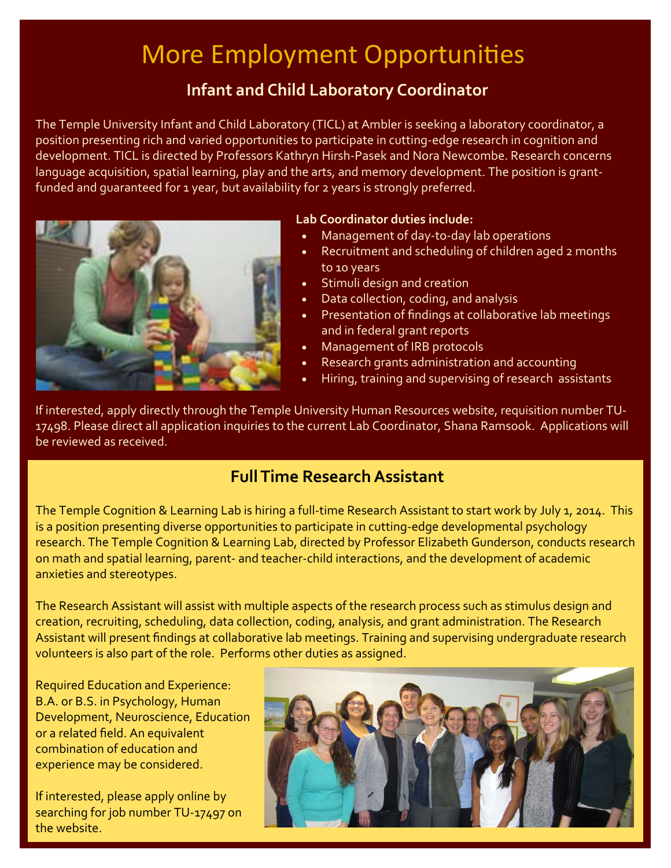# More Employment Opportunities

### **Infant and Child Laboratory Coordinator**

The Temple University Infant and Child Laboratory (TICL) at Ambler is seeking a laboratory coordinator, a position presenting rich and varied opportunities to participate in cutting‐edge research in cognition and development. TICL is directed by Professors Kathryn Hirsh‐Pasek and Nora Newcombe. Research concerns language acquisition, spatial learning, play and the arts, and memory development. The position is grantfunded and quaranteed for 1 year, but availability for 2 years is strongly preferred.



### **Lab Coordinator duties include:**

- Management of day‐to‐day lab operations
- Recruitment and scheduling of children aged 2 months to 10 years
- Stimuli design and creation
- Data collection, coding, and analysis
- Presentation of findings at collaborative lab meetings and in federal grant reports
- Management of IRB protocols
- Research grants administration and accounting
- Hiring, training and supervising of research assistants

If interested, apply directly through the Temple University Human Resources website, requisition number TU‐ 17498. Please direct all application inquiries to the current Lab Coordinator, Shana Ramsook. Applications will be reviewed as received.

### **FullTime ResearchAssistant**

The Temple Cognition & Learning Lab is hiring a full-time Research Assistant to start work by July 1, 2014. This is a position presenting diverse opportunities to participate in cutting‐edge developmental psychology research. The Temple Cognition & Learning Lab, directed by Professor Elizabeth Gunderson, conducts research on math and spatial learning, parent‐ and teacher‐child interactions, and the development of academic anxieties and stereotypes.

The Research Assistant will assist with multiple aspects of the research process such as stimulus design and creation, recruiting, scheduling, data collection, coding, analysis, and grant administration. The Research Assistant will present findings at collaborative lab meetings. Training and supervising undergraduate research volunteers is also part of the role. Performs other duties as assigned.

Required Education and Experience: B.A. or B.S. in Psychology, Human Development, Neuroscience, Education or a related field. An equivalent combination of education and experience may be considered.

If interested, please apply online by searching for job number TU-17497 on the website.

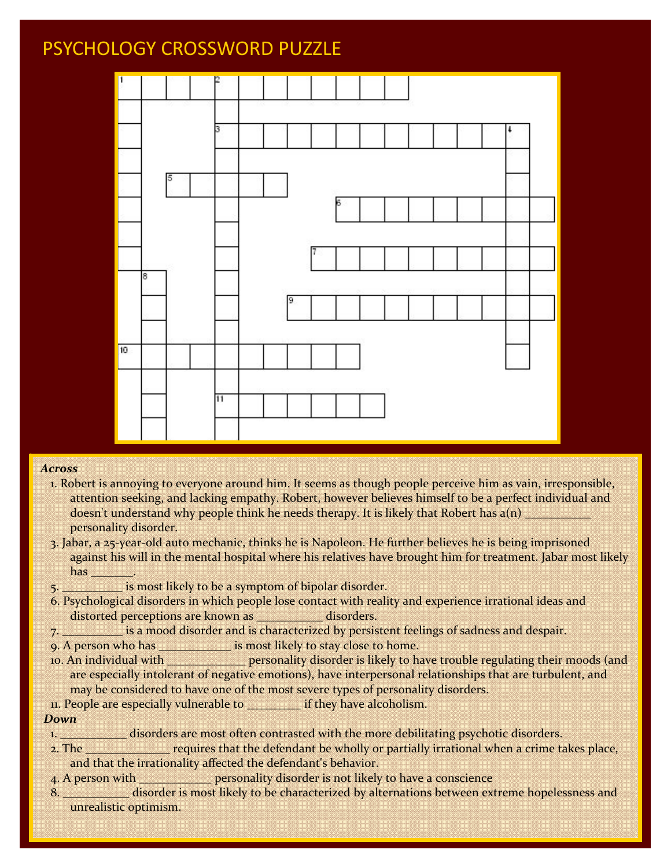### PSYCHOLOGY CROSSWORD PUZZLE



### *Across*

- 1. Robert is annoying to everyone around him. It seems as though people perceive him as vain, irresponsible, attention seeking, and lacking empathy. Robert, however believes himself to be a perfect individual and doesn't understand why people think he needs therapy. It is likely that Robert has  $a(n)$ personality disorder.
- 3. Jabar, a 25‐year‐old auto mechanic, thinks he is Napoleon. He further believes he is being imprisoned against his will in the mental hospital where his relatives have brought him for treatment. Jabar most likely has \_\_\_\_\_\_\_.
- 5. \_\_\_\_\_\_\_\_\_\_ is most likely to be a symptom of bipolar disorder.
- 6. Psychological disorders in which people lose contact with reality and experience irrational ideas and distorted perceptions are known as **Exercise and all examples** disorders.
- 7. \_\_\_\_\_\_\_\_\_\_ is a mood disorder and is characterized by persistent feelings of sadness and despair.
- 9. A person who has \_\_\_\_\_\_\_\_\_\_\_\_\_\_\_\_ is most likely to stay close to home.
- 10. An individual with  $\frac{1}{\sqrt{1-\frac{1}{n}}}$  personality disorder is likely to have trouble regulating their moods (and are especially intolerant of negative emotions), have interpersonal relationships that are turbulent, and may be considered to have one of the most severe types of personality disorders.
- 11. People are especially vulnerable to \_\_\_\_\_\_\_\_\_ if they have alcoholism.

### *Down*

- 1. \_\_\_\_\_\_\_\_\_\_\_\_\_ disorders are most often contrasted with the more debilitating psychotic disorders.
- 2. The **requires that the defendant be wholly or partially irrational when a crime takes place,** and that the irrationality affected the defendant's behavior.
- 4. A person with \_\_\_\_\_\_\_\_\_\_\_\_\_\_ personality disorder is not likely to have a conscience
- 8. \_\_\_\_\_\_\_\_\_\_\_\_ disorder is most likely to be characterized by alternations between extreme hopelessness and unrealistic optimism.